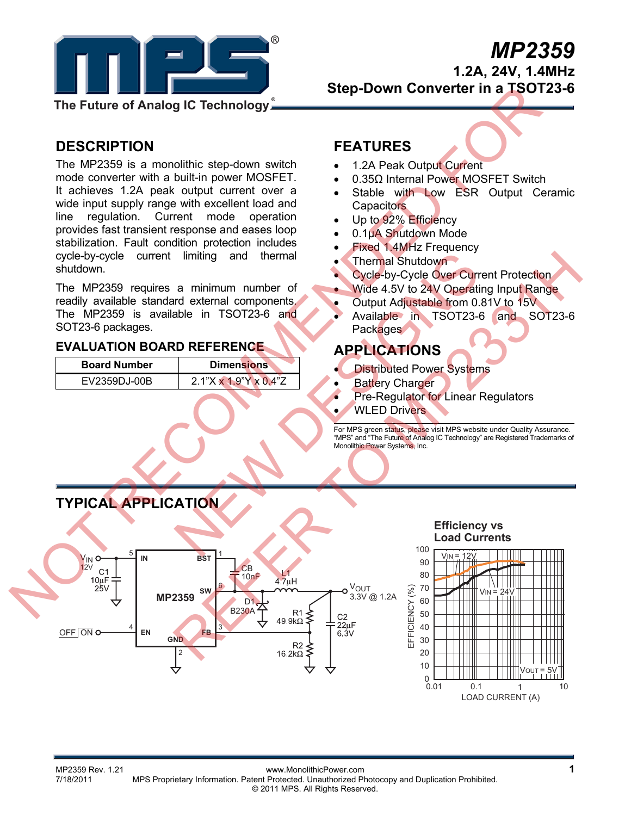

# *MP2359* **1.2A, 24V, 1.4MHz Step-Down Converter in a TSOT23-6**

**The Future of Analog IC Technology**

# **DESCRIPTION**

The MP2359 is a monolithic step-down switch mode converter with a built-in power MOSFET. It achieves 1.2A peak output current over a wide input supply range with excellent load and line regulation. Current mode operation provides fast transient response and eases loop stabilization. Fault condition protection includes cycle-by-cycle current limiting and thermal shutdown.

The MP2359 requires a minimum number of readily available standard external components. The MP2359 is available in TSOT23-6 and SOT23-6 packages.

### **EVALUATION BOARD REFERENCE**

| <b>Board Number</b> | <b>Dimensions</b>                 |
|---------------------|-----------------------------------|
| EV2359DJ-00B        | $2.1"X \times 1.9"Y \times 0.4"Z$ |

# **FEATURES**

- 1.2A Peak Output Current
- 0.35Ω Internal Power MOSFET Switch
- Stable with Low ESR Output Ceramic **Capacitors**
- Up to 92% Efficiency
- 0.1μA Shutdown Mode
- Fixed 1.4MHz Frequency
- Thermal Shutdown
- Cycle-by-Cycle Over Current Protection
- Wide 4.5V to 24V Operating Input Range
- Output Adjustable from 0.81V to 15V
- Available in TSOT23-6 and SOT23-6 Packages

# **APPLICATIONS**

- **Distributed Power Systems**
- **Battery Charger**
- **Pre-Regulator for Linear Regulators**
- WLED Drivers

For MPS green status, please visit MPS website under Quality Assurance. "MPS" and "The Future of Analog IC Technology" are Registered Trademarks of Monolithic Power Systems, Inc.



#### **Efficiency vs Load Currents**



MP2359 Rev. 1.21 www.MonolithicPower.com **1** MPS Proprietary Information. Patent Protected. Unauthorized Photocopy and Duplication Prohibited. © 2011 MPS. All Rights Reserved.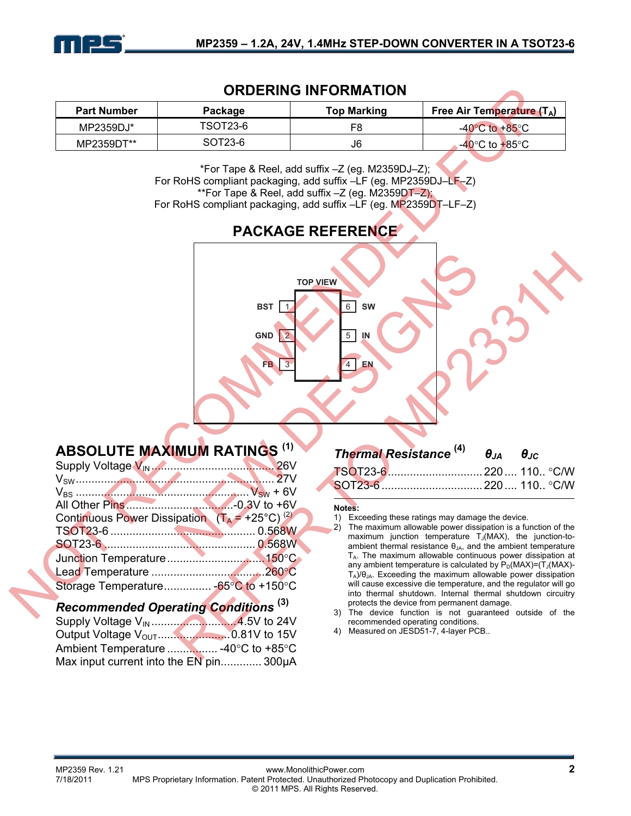

### **ORDERING INFORMATION**

| <b>Part Number</b> | Package  | <b>Top Marking</b> | <b>Free Air Temperature (TA)</b>   |
|--------------------|----------|--------------------|------------------------------------|
| MP2359DJ*          | TSOT23-6 | F8                 | $-40^{\circ}$ C to $+85^{\circ}$ C |
| MP2359DT**         | SOT23-6  | J6                 | -40°C to +85°C                     |

\*For Tape & Reel, add suffix –Z (eg. M2359DJ–Z); For RoHS compliant packaging, add suffix –LF (eg. MP2359DJ–LF–Z) \*\*For Tape & Reel, add suffix -Z (eg. M2359DT-Z); For RoHS compliant packaging, add suffix –LF (eg. MP2359DT–LF–Z)

# **PACKAGE REFERENCE**



# **ABSOLUTE MAXIMUM RATINGS (1)**

| $V_{SW}$                                                  |  |
|-----------------------------------------------------------|--|
|                                                           |  |
|                                                           |  |
| Continuous Power Dissipation $(T_A = +25^{\circ}C)^{(2)}$ |  |
|                                                           |  |
|                                                           |  |
|                                                           |  |
|                                                           |  |
|                                                           |  |
|                                                           |  |

### *Recommended Operating Conditions* **(3)**

Supply Voltage VIN ...........................4.5V to 24V Output Voltage VOUT.......................0.81V to 15V Ambient Temperature ................ -40°C to +85°C Max input current into the EN pin............. 300μA

|  | <b>Thermal Resistance</b> $^{(4)}$ $\theta_{JA}$ $\theta_{JC}$ |  |
|--|----------------------------------------------------------------|--|
|  |                                                                |  |
|  |                                                                |  |

#### **Notes:**

- 1) Exceeding these ratings may damage the device.
- 2) The maximum allowable power dissipation is a function of the maximum junction temperature  $T_J(MAX)$ , the junction-toambient thermal resistance  $\theta_{JA}$ , and the ambient temperature  $T_A$ . The maximum allowable continuous power dissipation at any ambient temperature is calculated by  $P_D(MAX)=(T_J(MAX)-T_J(MAX)-T_J(MAX)-T_J(MAX)-T_J(MAX)$  $T_A$ )/ $\theta_{JA}$ . Exceeding the maximum allowable power dissipation will cause excessive die temperature, and the regulator will go into thermal shutdown. Internal thermal shutdown circuitry protects the device from permanent damage.
- The device function is not guaranteed outside of the recommended operating conditions.
- 4) Measured on JESD51-7, 4-layer PCB..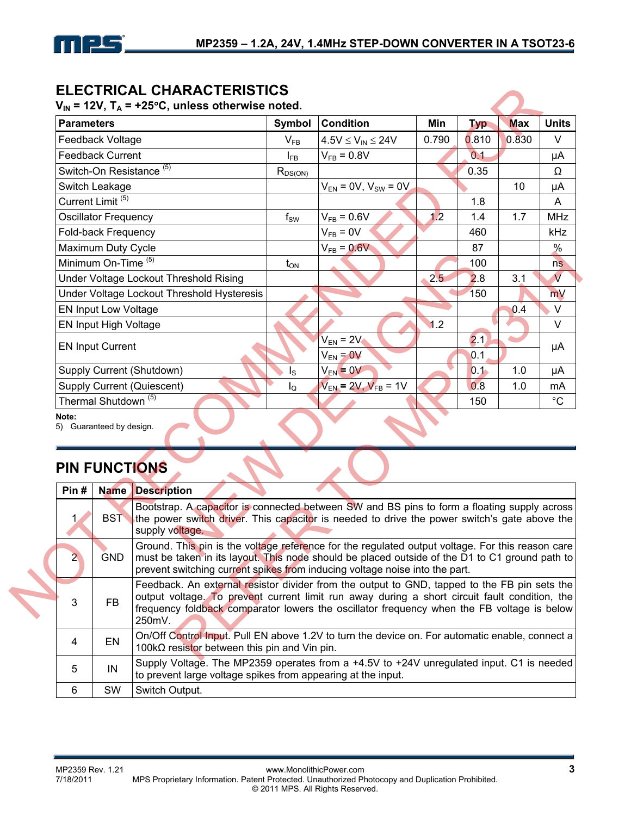

# **ELECTRICAL CHARACTERISTICS**<br>V = 12V T = 125°C unless attenuise nate

|                                                                                                                                                                                                                                                                                                                            | Feedback Voltage<br><b>Feedback Current</b>                                                                                   |                                                                                               |              |                              |       | <b>Typ</b> |       |                         |
|----------------------------------------------------------------------------------------------------------------------------------------------------------------------------------------------------------------------------------------------------------------------------------------------------------------------------|-------------------------------------------------------------------------------------------------------------------------------|-----------------------------------------------------------------------------------------------|--------------|------------------------------|-------|------------|-------|-------------------------|
|                                                                                                                                                                                                                                                                                                                            |                                                                                                                               |                                                                                               | $V_{FB}$     | $4.5V \leq V_{IN} \leq 24V$  | 0.790 | 0.810      | 0.830 | $\vee$                  |
|                                                                                                                                                                                                                                                                                                                            |                                                                                                                               |                                                                                               | $I_{FB}$     | $V_{FB} = 0.8V$              |       | 0.1        |       | μA                      |
|                                                                                                                                                                                                                                                                                                                            |                                                                                                                               | Switch-On Resistance <sup>(5)</sup>                                                           | $R_{DS(ON)}$ |                              |       | 0.35       |       | Ω                       |
|                                                                                                                                                                                                                                                                                                                            | Switch Leakage                                                                                                                |                                                                                               |              | $V_{EN} = 0V, V_{SW} = 0V$   |       |            | 10    | μA                      |
|                                                                                                                                                                                                                                                                                                                            | Current Limit <sup>(5)</sup>                                                                                                  |                                                                                               |              |                              |       | 1.8        |       | A                       |
|                                                                                                                                                                                                                                                                                                                            | <b>Oscillator Frequency</b>                                                                                                   |                                                                                               | $f_{SW}$     | $V_{FB} = 0.6V$              | 1.2   | 1.4        | 1.7   | <b>MHz</b>              |
|                                                                                                                                                                                                                                                                                                                            | Fold-back Frequency                                                                                                           |                                                                                               |              | $V_{FB} = 0V$                |       | 460        |       | kHz                     |
|                                                                                                                                                                                                                                                                                                                            | Maximum Duty Cycle                                                                                                            |                                                                                               |              | $V_{FB} = 0.6V$              |       | 87         |       | $\frac{0}{0}$           |
|                                                                                                                                                                                                                                                                                                                            | Minimum On-Time <sup>(5)</sup>                                                                                                |                                                                                               | $t_{ON}$     |                              |       | 100        |       | ns                      |
|                                                                                                                                                                                                                                                                                                                            |                                                                                                                               | Under Voltage Lockout Threshold Rising                                                        |              |                              | 2.5   | 2.8        | 3.1   | $\overline{\mathsf{V}}$ |
|                                                                                                                                                                                                                                                                                                                            |                                                                                                                               | Under Voltage Lockout Threshold Hysteresis                                                    |              |                              |       | 150        |       | mV                      |
|                                                                                                                                                                                                                                                                                                                            | <b>EN Input Low Voltage</b>                                                                                                   |                                                                                               |              |                              |       |            | 0.4   | $\vee$                  |
|                                                                                                                                                                                                                                                                                                                            | EN Input High Voltage                                                                                                         |                                                                                               |              |                              | 1.2   |            |       | $\vee$                  |
|                                                                                                                                                                                                                                                                                                                            | <b>EN Input Current</b>                                                                                                       |                                                                                               |              | $V_{EN}$ = 2V                |       | 2.1        |       |                         |
|                                                                                                                                                                                                                                                                                                                            |                                                                                                                               |                                                                                               |              | $V_{EN} = 0V$                |       | 0.1        |       | μA                      |
|                                                                                                                                                                                                                                                                                                                            |                                                                                                                               | Supply Current (Shutdown)                                                                     | $I_{\rm S}$  | $V_{EN} = 0V$                |       | 0.1        | 1.0   | μA                      |
|                                                                                                                                                                                                                                                                                                                            |                                                                                                                               | <b>Supply Current (Quiescent)</b>                                                             | Ιo           | $V_{EN}$ = 2V, $V_{FB}$ = 1V |       | 0.8        | 1.0   | mA                      |
|                                                                                                                                                                                                                                                                                                                            | Thermal Shutdown <sup>(5)</sup>                                                                                               |                                                                                               |              |                              |       | 150        |       | $^{\circ}C$             |
| Note:<br>Pin#                                                                                                                                                                                                                                                                                                              | 5) Guaranteed by design.<br><b>PIN FUNCTIONS</b><br>Name                                                                      | <b>Description</b>                                                                            |              |                              |       |            |       |                         |
|                                                                                                                                                                                                                                                                                                                            |                                                                                                                               | Bootstrap. A capacitor is connected between SW and BS pins to form a floating supply across   |              |                              |       |            |       |                         |
| 1.                                                                                                                                                                                                                                                                                                                         | <b>BST</b><br>the power switch driver. This capacitor is needed to drive the power switch's gate above the<br>supply voltage. |                                                                                               |              |                              |       |            |       |                         |
|                                                                                                                                                                                                                                                                                                                            |                                                                                                                               |                                                                                               |              |                              |       |            |       |                         |
| Ground. This pin is the voltage reference for the regulated output voltage. For this reason care<br>must be taken in its layout. This node should be placed outside of the D1 to C1 ground path to<br>$\overline{\mathbf{2}}$<br><b>GND</b><br>prevent switching current spikes from inducing voltage noise into the part. |                                                                                                                               |                                                                                               |              |                              |       |            |       |                         |
| Feedback. An external resistor divider from the output to GND, tapped to the FB pin sets the                                                                                                                                                                                                                               |                                                                                                                               |                                                                                               |              |                              |       |            |       |                         |
|                                                                                                                                                                                                                                                                                                                            |                                                                                                                               | output voltage. To prevent current limit run away during a short circuit fault condition, the |              |                              |       |            |       |                         |

# **PIN FUNCTIONS**

|                      |                                 |                                                                                                                                                                                                                                                                                                       |                  |                                |     |            |     | $\cdot$                 |
|----------------------|---------------------------------|-------------------------------------------------------------------------------------------------------------------------------------------------------------------------------------------------------------------------------------------------------------------------------------------------------|------------------|--------------------------------|-----|------------|-----|-------------------------|
|                      | Minimum On-Time <sup>(5)</sup>  |                                                                                                                                                                                                                                                                                                       | $t_{ON}$         |                                |     | 100        |     | ns                      |
|                      |                                 | Under Voltage Lockout Threshold Rising                                                                                                                                                                                                                                                                |                  |                                | 2.5 | 2.8        | 3.1 | $\overline{\mathsf{V}}$ |
|                      |                                 | Under Voltage Lockout Threshold Hysteresis                                                                                                                                                                                                                                                            |                  |                                |     | 150        |     | mV                      |
|                      | EN Input Low Voltage            |                                                                                                                                                                                                                                                                                                       |                  |                                |     |            | 0.4 | $\vee$                  |
|                      | EN Input High Voltage           |                                                                                                                                                                                                                                                                                                       |                  |                                | 1.2 |            |     | $\vee$                  |
|                      | <b>EN Input Current</b>         |                                                                                                                                                                                                                                                                                                       |                  | $V_{EN} = 2V$<br>$V_{EN} = 0V$ |     | 2.1<br>0.1 |     | μA                      |
|                      |                                 | Supply Current (Shutdown)                                                                                                                                                                                                                                                                             | $I_{\rm S}$      | $V_{EN} = 0V$                  |     | 0.1        | 1.0 | μA                      |
|                      |                                 | <b>Supply Current (Quiescent)</b>                                                                                                                                                                                                                                                                     | $I_{\mathsf{Q}}$ | $V_{EN}$ = 2V, $V_{FB}$ = 1V   |     | 0.8        | 1.0 | mA                      |
|                      | Thermal Shutdown <sup>(5)</sup> |                                                                                                                                                                                                                                                                                                       |                  |                                |     | 150        |     | $^{\circ}C$             |
| <b>PIN FUNCTIONS</b> |                                 |                                                                                                                                                                                                                                                                                                       |                  |                                |     |            |     |                         |
|                      |                                 |                                                                                                                                                                                                                                                                                                       |                  |                                |     |            |     |                         |
| Pin#<br>1            | <b>BST</b>                      | <b>Name Description</b><br>Bootstrap. A capacitor is connected between SW and BS pins to form a floating supply across<br>the power switch driver. This capacitor is needed to drive the power switch's gate above the<br>supply voltage.                                                             |                  |                                |     |            |     |                         |
| $\overline{2}$       | <b>GND</b>                      | Ground. This pin is the voltage reference for the regulated output voltage. For this reason care<br>must be taken in its layout. This node should be placed outside of the D1 to C1 ground path to<br>prevent switching current spikes from inducing voltage noise into the part.                     |                  |                                |     |            |     |                         |
| 3                    | <b>FB</b>                       | Feedback. An external resistor divider from the output to GND, tapped to the FB pin sets the<br>output voltage. To prevent current limit run away during a short circuit fault condition, the<br>frequency foldback comparator lowers the oscillator frequency when the FB voltage is below<br>250mV. |                  |                                |     |            |     |                         |
| 4                    | EN                              | On/Off Control Input. Pull EN above 1.2V to turn the device on. For automatic enable, connect a<br>100kΩ resistor between this pin and Vin pin.                                                                                                                                                       |                  |                                |     |            |     |                         |
| 5                    | IN                              | Supply Voltage. The MP2359 operates from a +4.5V to +24V unregulated input. C1 is needed<br>to prevent large voltage spikes from appearing at the input.                                                                                                                                              |                  |                                |     |            |     |                         |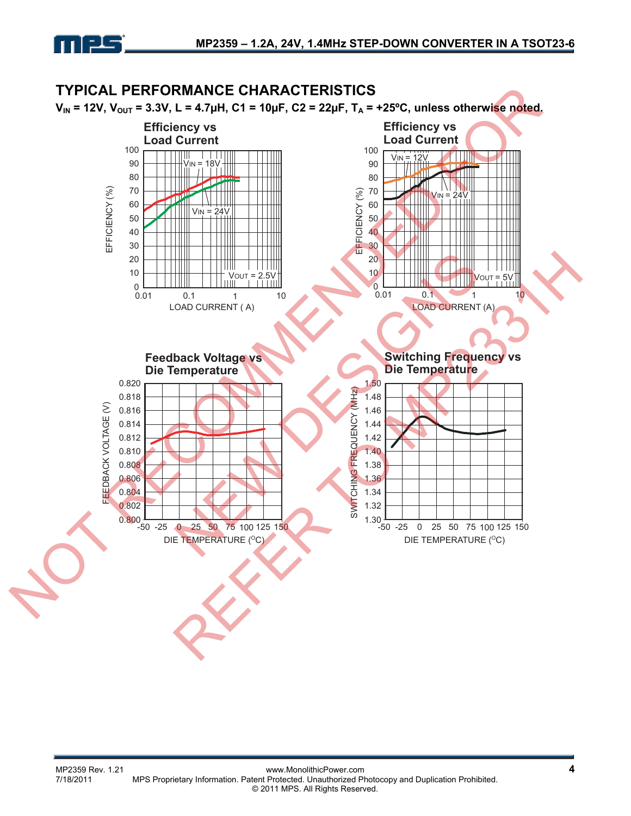

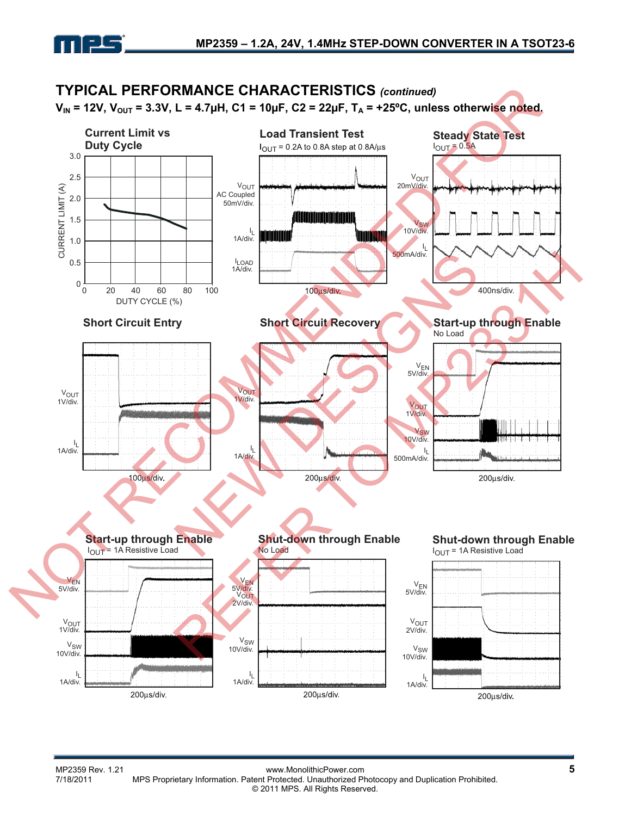

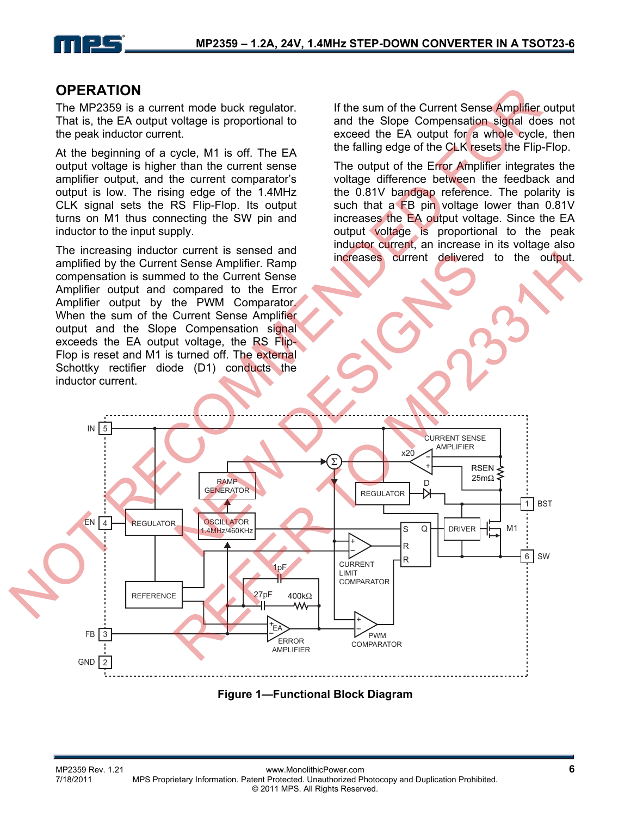

### **OPERATION**

The MP2359 is a current mode buck regulator. That is, the EA output voltage is proportional to the peak inductor current.

At the beginning of a cycle, M1 is off. The EA output voltage is higher than the current sense amplifier output, and the current comparator's output is low. The rising edge of the 1.4MHz CLK signal sets the RS Flip-Flop. Its output turns on M1 thus connecting the SW pin and inductor to the input supply.

The increasing inductor current is sensed and amplified by the Current Sense Amplifier. Ramp compensation is summed to the Current Sense Amplifier output and compared to the Error Amplifier output by the PWM Comparator. When the sum of the Current Sense Amplifier output and the Slope Compensation signal exceeds the EA output voltage, the RS Flip-Flop is reset and M1 is turned off. The external Schottky rectifier diode (D1) conducts the inductor current.

If the sum of the Current Sense Amplifier output and the Slope Compensation signal does not exceed the EA output for a whole cycle, then the falling edge of the CLK resets the Flip-Flop.

The output of the Error Amplifier integrates the voltage difference between the feedback and the 0.81V bandgap reference. The polarity is such that a FB pin voltage lower than 0.81V increases the EA output voltage. Since the EA output voltage is proportional to the peak inductor current, an increase in its voltage also increases current delivered to the output.



**Figure 1—Functional Block Diagram**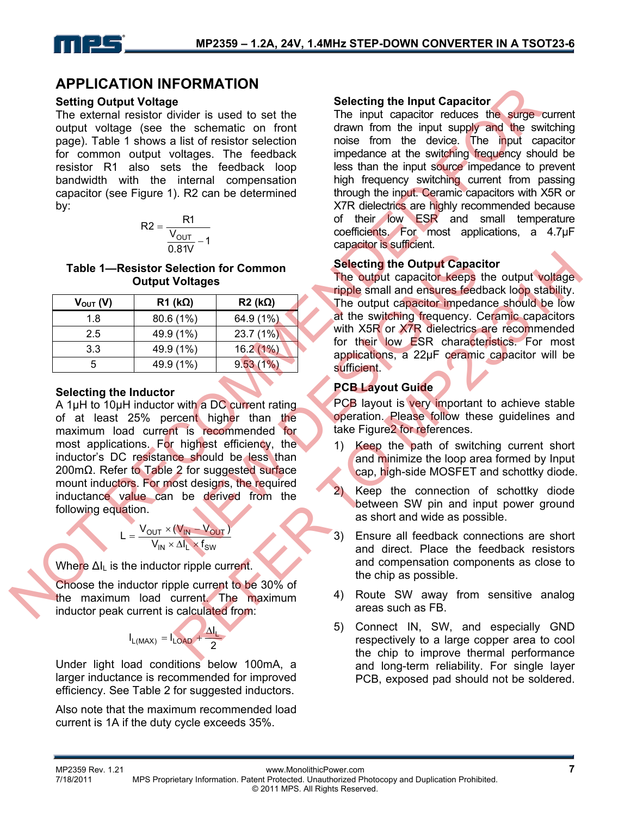### **APPLICATION INFORMATION**

#### **Setting Output Voltage**

The external resistor divider is used to set the output voltage (see the schematic on front page). Table 1 shows a list of resistor selection for common output voltages. The feedback resistor R1 also sets the feedback loop bandwidth with the internal compensation capacitor (see Figure 1). R2 can be determined by:

$$
R2 = \frac{R1}{\frac{V_{OUT}}{0.81V} - 1}
$$

#### **Table 1—Resistor Selection for Common Output Voltages**

| $V_{\text{OUT}}(V)$ | $R1$ (k $\Omega$ ) | $R2$ (kΩ) |
|---------------------|--------------------|-----------|
| 1.8                 | 80.6 (1%)          | 64.9 (1%) |
| 2.5                 | 49.9 (1%)          | 23.7(1%)  |
| 3.3                 | 49.9 (1%)          | 16.2(1%)  |
| 5                   | 49.9 (1%)          | 9.53(1%)  |

#### **Selecting the Inductor**

A 1µH to 10µH inductor with a DC current rating of at least 25% percent higher than the maximum load current is recommended for most applications. For highest efficiency, the inductor's DC resistance should be less than 200mΩ. Refer to Table 2 for suggested surface mount inductors. For most designs, the required inductance value can be derived from the following equation.

$$
L = \frac{V_{OUT} \times (V_{IN} - V_{OUT})}{V_{IN} \times \Delta I_L \times f_{SW}}
$$

Where  $\Delta I_{\parallel}$  is the inductor ripple current.

Choose the inductor ripple current to be 30% of the maximum load current. The maximum inductor peak current is calculated from:

$$
I_{L(MAX)} = I_{LOAD} + \frac{\Delta I_L}{2}
$$

Under light load conditions below 100mA, a larger inductance is recommended for improved efficiency. See Table 2 for suggested inductors.

Also note that the maximum recommended load current is 1A if the duty cycle exceeds 35%.

#### **Selecting the Input Capacitor**

The input capacitor reduces the surge current drawn from the input supply and the switching noise from the device. The input capacitor impedance at the switching frequency should be less than the input source impedance to prevent high frequency switching current from passing through the input. Ceramic capacitors with X5R or X7R dielectrics are highly recommended because of their low ESR and small temperature coefficients. For most applications, a 4.7µF capacitor is sufficient. **Example and the state of their capacity and the state of the state of the state of the state of the state of the state of the state of the state of the state of the state of the state of the state of the state of the sta** 

### **Selecting the Output Capacitor**

The output capacitor keeps the output voltage ripple small and ensures feedback loop stability. The output capacitor impedance should be low at the switching frequency. Ceramic capacitors with X5R or X7R dielectrics are recommended for their low ESR characteristics. For most applications, a 22µF ceramic capacitor will be sufficient. dection for Common Selecting the Output Capacitor keeps<br>
( $\frac{(1\%)}{(1\%)}$   $\frac{(1\%)}{23.7}$  (1%)<br>
(1%)  $\frac{(1\%)}{23.7}$  (1%)<br>
(1%)  $\frac{(1\%)}{23.7}$  (1%)<br>
(1%)  $\frac{(1\%)}{23.7}$  (1%)<br>
(1%)  $\frac{(1\%)}{23.7}$  (1%)<br>
(1%)  $\frac{(1\%)}{23.7}$  (1% Selecting the Output Capacitor<br>
Voltages<br>
(common Selecting the Output capacitor<br>
(common specifies)<br>
(common specifies the diversity of the strength of the strength of the strength of the strength of the strength of the

### **PCB Layout Guide**

PCB layout is very important to achieve stable operation. Please follow these guidelines and take Figure2 for references.

- 1) Keep the path of switching current short and minimize the loop area formed by Input cap, high-side MOSFET and schottky diode.
- 2) Keep the connection of schottky diode between SW pin and input power ground as short and wide as possible.
- 3) Ensure all feedback connections are short and direct. Place the feedback resistors and compensation components as close to the chip as possible.
- 4) Route SW away from sensitive analog areas such as FB.
- 5) Connect IN, SW, and especially GND respectively to a large copper area to cool the chip to improve thermal performance and long-term reliability. For single layer PCB, exposed pad should not be soldered.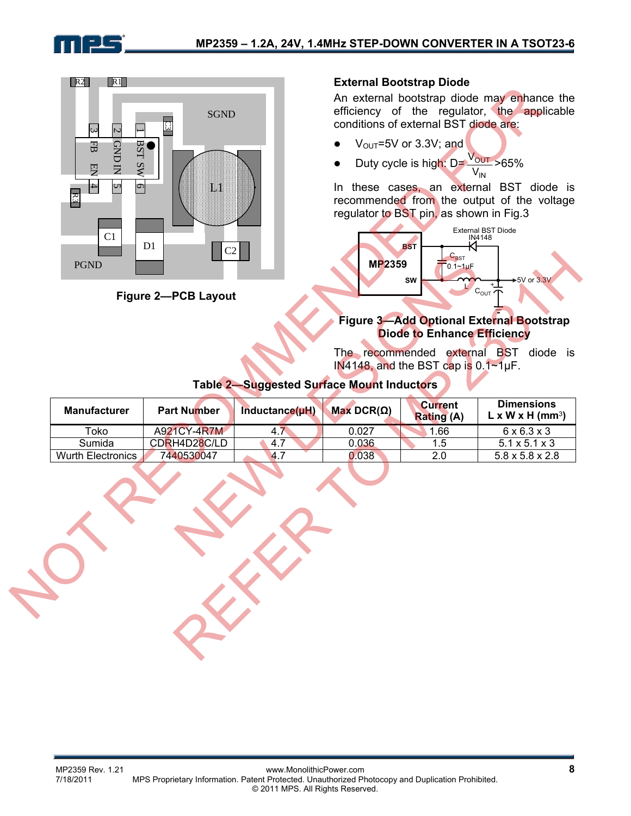



**Figure 2—PCB Layout** 

#### **External Bootstrap Diode**

An external bootstrap diode may enhance the efficiency of the regulator, the applicable conditions of external BST diode are:

- $V_{\text{OUT}}$ =5V or 3.3V; and
- Duty cycle is high: D= **OUT**  $\frac{V_{\text{OUT}}}{V_{\text{IN}}}$ >65%

In these cases, an external BST diode is recommended from the output of the voltage regulator to BST pin, as shown in Fig.3

IN



#### **Figure 3—Add Optional External Bootstrap Diode to Enhance Efficiency**

#### **Table 2—Suggested Surface Mount Inductors**

| <b>PGND</b>              | UZ.<br><b>Figure 2-PCB Layout</b> | <b>Table 2-Suggested Surface Mount Inductors</b> | <b>MP2359</b>       | $C_{\text{BST}}$<br>$0.1 - 1 \mu F$<br><b>SW</b><br><b>Diode to Enhance Efficiency</b><br>IN4148, and the BST cap is 0.1~1µF. | <b>★5V or 3.3V</b><br>$+$<br>$c_{\text{out}}$<br>Figure 3-Add Optional External Bootstrap<br>The recommended external BST diode is |
|--------------------------|-----------------------------------|--------------------------------------------------|---------------------|-------------------------------------------------------------------------------------------------------------------------------|------------------------------------------------------------------------------------------------------------------------------------|
| <b>Manufacturer</b>      | <b>Part Number</b>                | Inductance(uH)                                   | Max DCR( $\Omega$ ) | <b>Current</b><br><b>Rating (A)</b>                                                                                           | <b>Dimensions</b><br>$L \times W \times H$ (mm <sup>3</sup> )                                                                      |
| Toko                     | A921CY-4R7M                       | 4.7                                              | 0.027               | 1.66                                                                                                                          | $6 \times 6.\overline{3 \times 3}$                                                                                                 |
| Sumida                   | CDRH4D28C/LD                      | 4.7                                              | 0.036               | 1.5                                                                                                                           | $5.1 \times 5.1 \times 3$                                                                                                          |
| <b>Wurth Electronics</b> | 7440530047                        | 4.7                                              | 0.038               | 2.0                                                                                                                           | $5.8 \times 5.8 \times 2.8$                                                                                                        |
|                          |                                   |                                                  |                     |                                                                                                                               |                                                                                                                                    |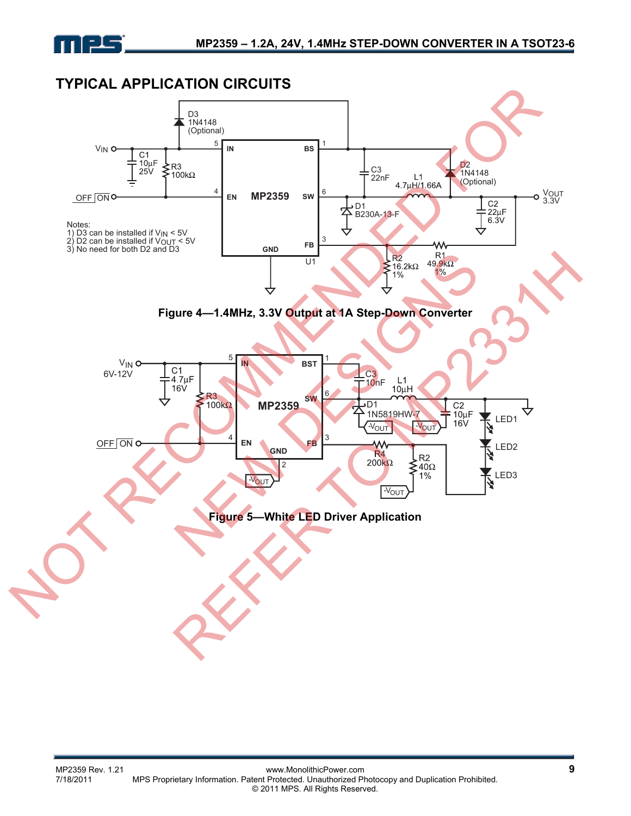

# **TYPICAL APPLICATION CIRCUITS**

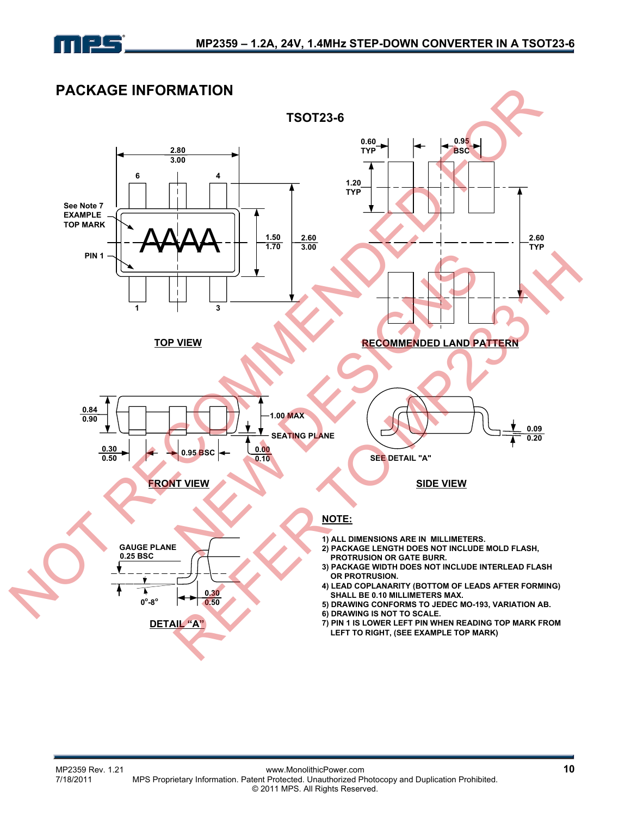

# **PACKAGE INFORMATION**